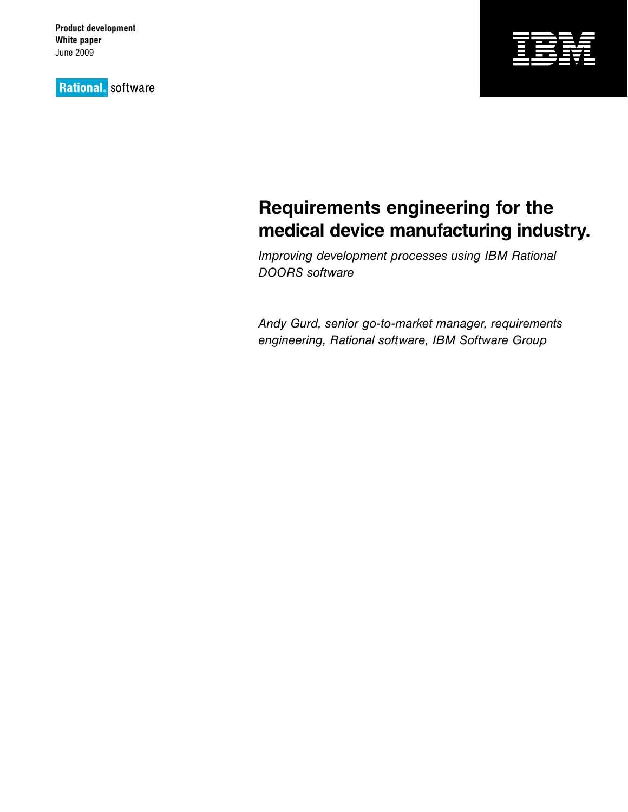**Product development White paper** June 2009

**Rational**. software



# **Requirements engineering for the medical device manufacturing industry.**

*Improving development processes using IBM Rational DOORS software*

*Andy Gurd, senior go-to-market manager, requirements engineering, Rational software, IBM Software Group*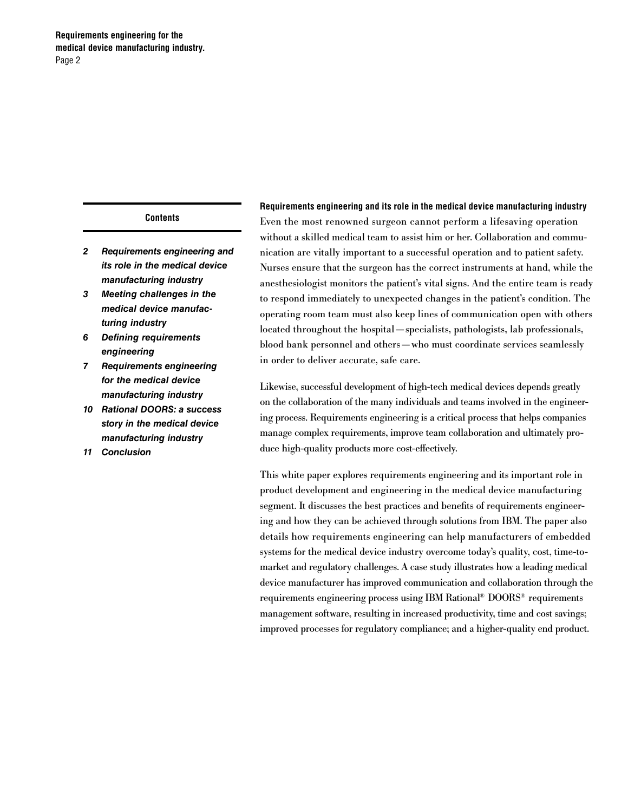## **Contents**

- *2 Requirements engineering and its role in the medical device manufacturing industry*
- *3 Meeting challenges in the medical device manufacturing industry*
- *6 Defining requirements engineering*
- *7 Requirements engineering for the medical device manufacturing industry*
- *10 Rational DOORS: a success story in the medical device manufacturing industry*
- *11 Conclusion*

**Requirements engineering and its role in the medical device manufacturing industry** Even the most renowned surgeon cannot perform a lifesaving operation without a skilled medical team to assist him or her. Collaboration and communication are vitally important to a successful operation and to patient safety. Nurses ensure that the surgeon has the correct instruments at hand, while the anesthesiologist monitors the patient's vital signs. And the entire team is ready to respond immediately to unexpected changes in the patient's condition. The operating room team must also keep lines of communication open with others located throughout the hospital—specialists, pathologists, lab professionals, blood bank personnel and others—who must coordinate services seamlessly in order to deliver accurate, safe care.

Likewise, successful development of high-tech medical devices depends greatly on the collaboration of the many individuals and teams involved in the engineering process. Requirements engineering is a critical process that helps companies manage complex requirements, improve team collaboration and ultimately produce high-quality products more cost-effectively.

This white paper explores requirements engineering and its important role in product development and engineering in the medical device manufacturing segment. It discusses the best practices and benefits of requirements engineering and how they can be achieved through solutions from IBM. The paper also details how requirements engineering can help manufacturers of embedded systems for the medical device industry overcome today's quality, cost, time-tomarket and regulatory challenges. A case study illustrates how a leading medical device manufacturer has improved communication and collaboration through the requirements engineering process using IBM Rational® DOORS® requirements management software, resulting in increased productivity, time and cost savings; improved processes for regulatory compliance; and a higher-quality end product.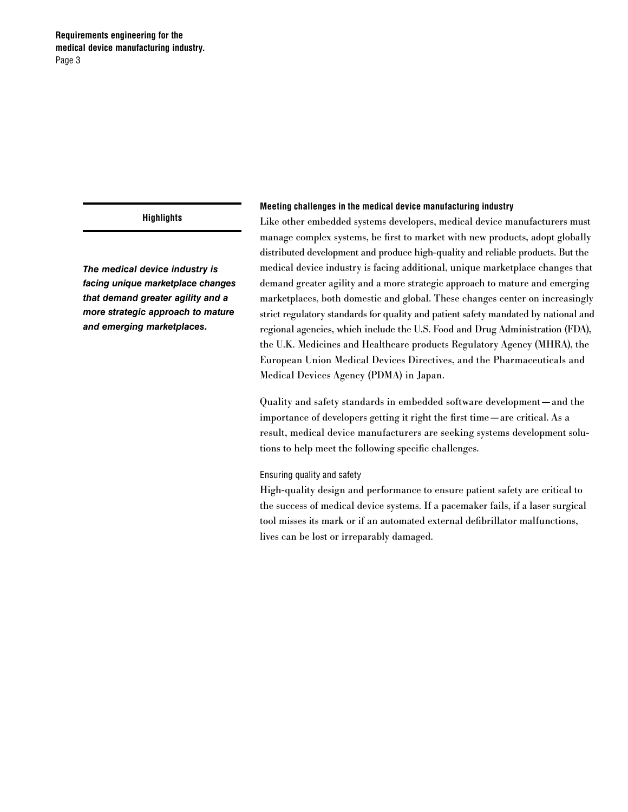*The medical device industry is facing unique marketplace changes that demand greater agility and a more strategic approach to mature and emerging marketplaces.*

#### **Meeting challenges in the medical device manufacturing industry**

Like other embedded systems developers, medical device manufacturers must manage complex systems, be first to market with new products, adopt globally distributed development and produce high-quality and reliable products. But the medical device industry is facing additional, unique marketplace changes that demand greater agility and a more strategic approach to mature and emerging marketplaces, both domestic and global. These changes center on increasingly strict regulatory standards for quality and patient safety mandated by national and regional agencies, which include the U.S. Food and Drug Administration (FDA), the U.K. Medicines and Healthcare products Regulatory Agency (MHRA), the European Union Medical Devices Directives, and the Pharmaceuticals and Medical Devices Agency (PDMA) in Japan.

Quality and safety standards in embedded software development—and the importance of developers getting it right the first time—are critical. As a result, medical device manufacturers are seeking systems development solutions to help meet the following specific challenges.

#### Ensuring quality and safety

High-quality design and performance to ensure patient safety are critical to the success of medical device systems. If a pacemaker fails, if a laser surgical tool misses its mark or if an automated external defibrillator malfunctions, lives can be lost or irreparably damaged.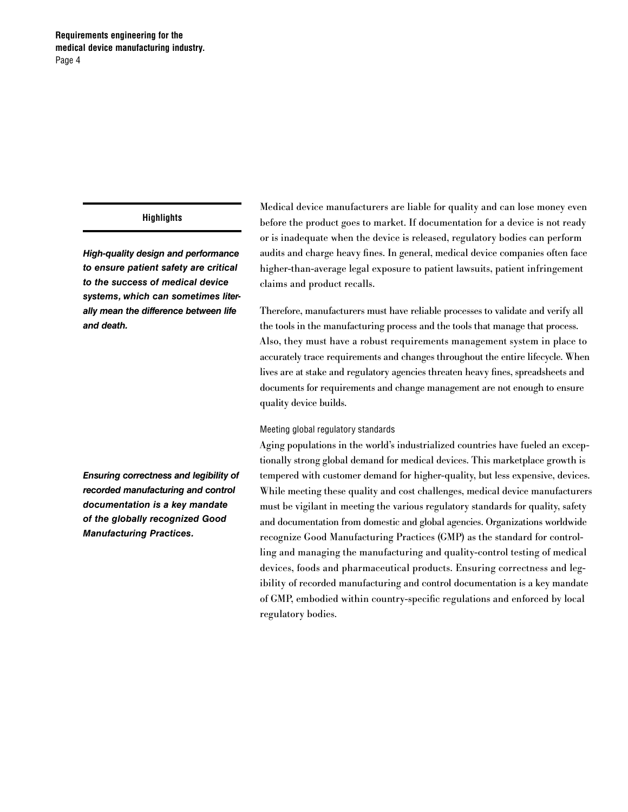*High-quality design and performance to ensure patient safety are critical to the success of medical device systems, which can sometimes literally mean the difference between life and death.*

*Ensuring correctness and legibility of recorded manufacturing and control documentation is a key mandate of the globally recognized Good Manufacturing Practices.*

Medical device manufacturers are liable for quality and can lose money even before the product goes to market. If documentation for a device is not ready or is inadequate when the device is released, regulatory bodies can perform audits and charge heavy fines. In general, medical device companies often face higher-than-average legal exposure to patient lawsuits, patient infringement claims and product recalls.

Therefore, manufacturers must have reliable processes to validate and verify all the tools in the manufacturing process and the tools that manage that process. Also, they must have a robust requirements management system in place to accurately trace requirements and changes throughout the entire lifecycle. When lives are at stake and regulatory agencies threaten heavy fines, spreadsheets and documents for requirements and change management are not enough to ensure quality device builds.

## Meeting global regulatory standards

Aging populations in the world's industrialized countries have fueled an exceptionally strong global demand for medical devices. This marketplace growth is tempered with customer demand for higher-quality, but less expensive, devices. While meeting these quality and cost challenges, medical device manufacturers must be vigilant in meeting the various regulatory standards for quality, safety and documentation from domestic and global agencies. Organizations worldwide recognize Good Manufacturing Practices (GMP) as the standard for controlling and managing the manufacturing and quality-control testing of medical devices, foods and pharmaceutical products. Ensuring correctness and legibility of recorded manufacturing and control documentation is a key mandate of GMP, embodied within country-specific regulations and enforced by local regulatory bodies.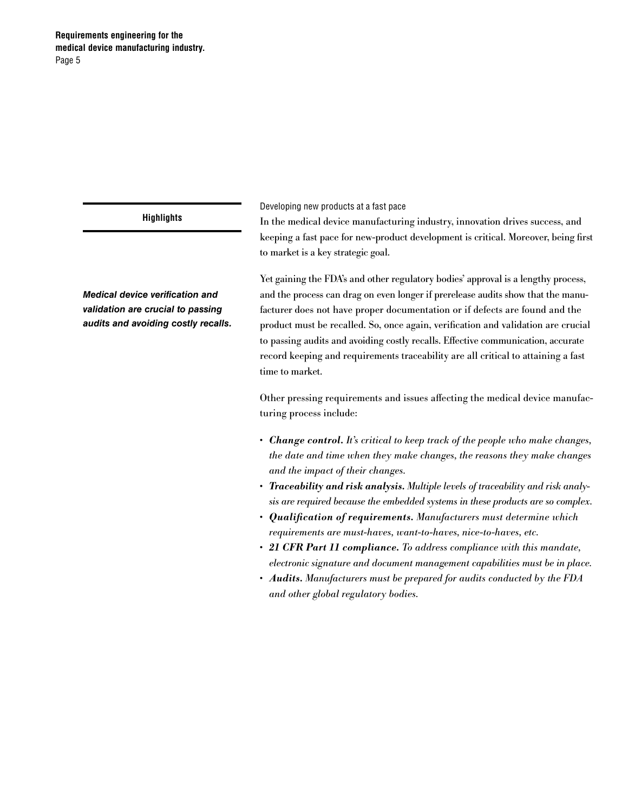# **Requirements engineering for the medical device manufacturing industry.** Page 5

# **Highlights**

*Medical device verification and validation are crucial to passing audits and avoiding costly recalls.* Developing new products at a fast pace

In the medical device manufacturing industry, innovation drives success, and keeping a fast pace for new-product development is critical. Moreover, being first to market is a key strategic goal.

Yet gaining the FDA's and other regulatory bodies' approval is a lengthy process, and the process can drag on even longer if prerelease audits show that the manufacturer does not have proper documentation or if defects are found and the product must be recalled. So, once again, verification and validation are crucial to passing audits and avoiding costly recalls. Effective communication, accurate record keeping and requirements traceability are all critical to attaining a fast time to market.

Other pressing requirements and issues affecting the medical device manufacturing process include:

- • *Change control. It's critical to keep track of the people who make changes, the date and time when they make changes, the reasons they make changes and the impact of their changes.*
- • *Traceability and risk analysis. Multiple levels of traceability and risk analysis are required because the embedded systems in these products are so complex.*
- • *Qualification of requirements. Manufacturers must determine which requirements are must-haves, want-to-haves, nice-to-haves, etc.*
- • *21 CFR Part 11 compliance. To address compliance with this mandate, electronic signature and document management capabilities must be in place.*
- • *Audits. Manufacturers must be prepared for audits conducted by the FDA and other global regulatory bodies.*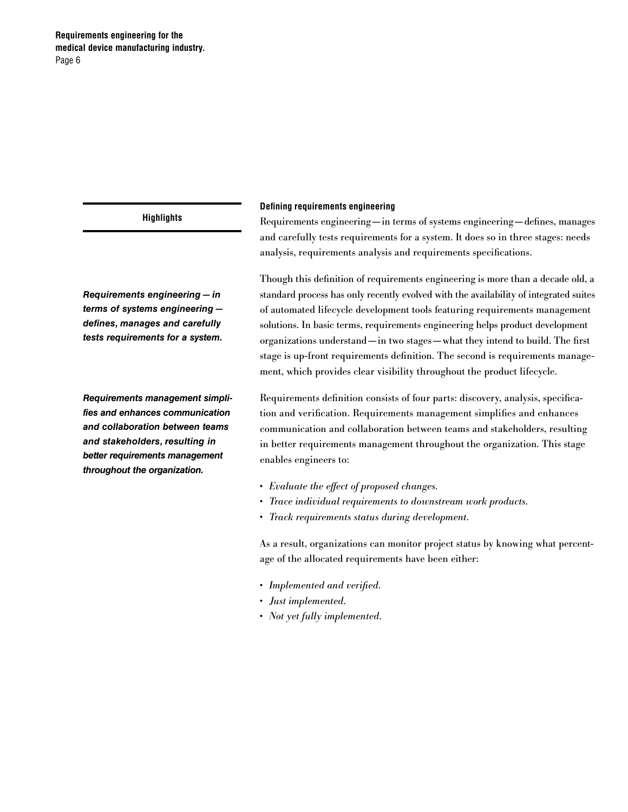*Requirements engineering—in terms of systems engineering defines, manages and carefully tests requirements for a system.*

*Requirements management simplifies and enhances communication and collaboration between teams and stakeholders, resulting in better requirements management throughout the organization.*

#### **Defining requirements engineering**

Requirements engineering—in terms of systems engineering—defines, manages and carefully tests requirements for a system. It does so in three stages: needs analysis, requirements analysis and requirements specifications.

Though this definition of requirements engineering is more than a decade old, a standard process has only recently evolved with the availability of integrated suites of automated lifecycle development tools featuring requirements management solutions. In basic terms, requirements engineering helps product development organizations understand—in two stages—what they intend to build. The first stage is up-front requirements definition. The second is requirements management, which provides clear visibility throughout the product lifecycle.

Requirements definition consists of four parts: discovery, analysis, specification and verification. Requirements management simplifies and enhances communication and collaboration between teams and stakeholders, resulting in better requirements management throughout the organization. This stage enables engineers to:

- • *Evaluate the effect of proposed changes.*
- • *Trace individual requirements to downstream work products.*
- • *Track requirements status during development.*

As a result, organizations can monitor project status by knowing what percentage of the allocated requirements have been either:

- • *Implemented and verified.*
- • *Just implemented.*
- • *Not yet fully implemented.*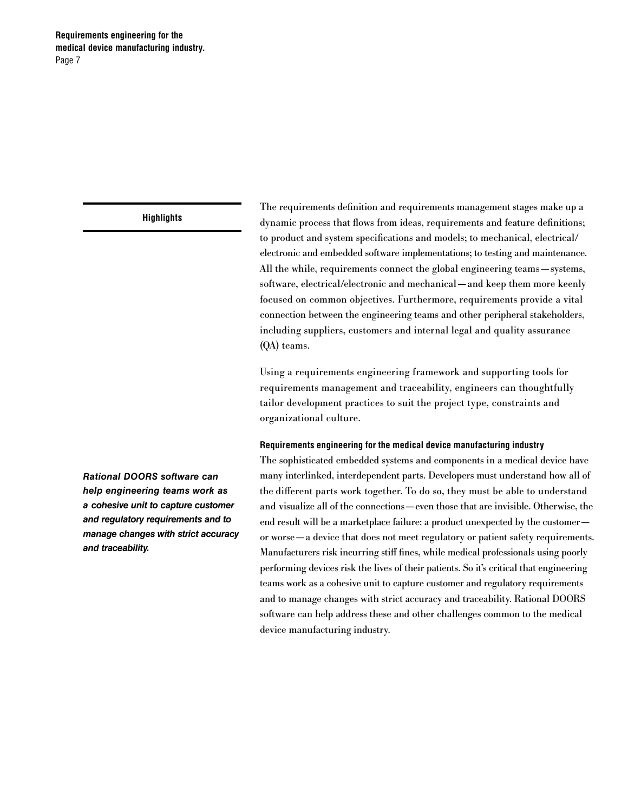The requirements definition and requirements management stages make up a dynamic process that flows from ideas, requirements and feature definitions; to product and system specifications and models; to mechanical, electrical/ electronic and embedded software implementations; to testing and maintenance. All the while, requirements connect the global engineering teams—systems, software, electrical/electronic and mechanical—and keep them more keenly focused on common objectives. Furthermore, requirements provide a vital connection between the engineering teams and other peripheral stakeholders, including suppliers, customers and internal legal and quality assurance (QA) teams.

Using a requirements engineering framework and supporting tools for requirements management and traceability, engineers can thoughtfully tailor development practices to suit the project type, constraints and organizational culture.

#### **Requirements engineering for the medical device manufacturing industry**

The sophisticated embedded systems and components in a medical device have many interlinked, interdependent parts. Developers must understand how all of the different parts work together. To do so, they must be able to understand and visualize all of the connections—even those that are invisible. Otherwise, the end result will be a marketplace failure: a product unexpected by the customer or worse—a device that does not meet regulatory or patient safety requirements. Manufacturers risk incurring stiff fines, while medical professionals using poorly performing devices risk the lives of their patients. So it's critical that engineering teams work as a cohesive unit to capture customer and regulatory requirements and to manage changes with strict accuracy and traceability. Rational DOORS software can help address these and other challenges common to the medical device manufacturing industry.

*Rational DOORS software can help engineering teams work as a cohesive unit to capture customer and regulatory requirements and to manage changes with strict accuracy and traceability.*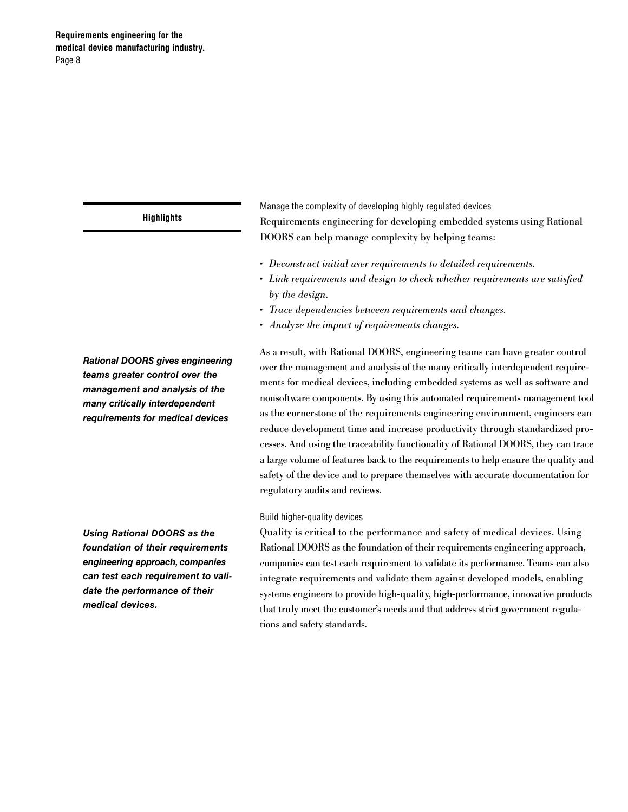*Rational DOORS gives engineering teams greater control over the management and analysis of the many critically interdependent requirements for medical devices*

*Using Rational DOORS as the foundation of their requirements engineering approach, companies can test each requirement to validate the performance of their medical devices.*

Manage the complexity of developing highly regulated devices Requirements engineering for developing embedded systems using Rational DOORS can help manage complexity by helping teams:

- • *Deconstruct initial user requirements to detailed requirements.*
- • *Link requirements and design to check whether requirements are satisfied by the design.*
- • *Trace dependencies between requirements and changes.*
- • *Analyze the impact of requirements changes.*

As a result, with Rational DOORS, engineering teams can have greater control over the management and analysis of the many critically interdependent requirements for medical devices, including embedded systems as well as software and nonsoftware components. By using this automated requirements management tool as the cornerstone of the requirements engineering environment, engineers can reduce development time and increase productivity through standardized processes. And using the traceability functionality of Rational DOORS, they can trace a large volume of features back to the requirements to help ensure the quality and safety of the device and to prepare themselves with accurate documentation for regulatory audits and reviews.

#### Build higher-quality devices

Quality is critical to the performance and safety of medical devices. Using Rational DOORS as the foundation of their requirements engineering approach, companies can test each requirement to validate its performance. Teams can also integrate requirements and validate them against developed models, enabling systems engineers to provide high-quality, high-performance, innovative products that truly meet the customer's needs and that address strict government regulations and safety standards.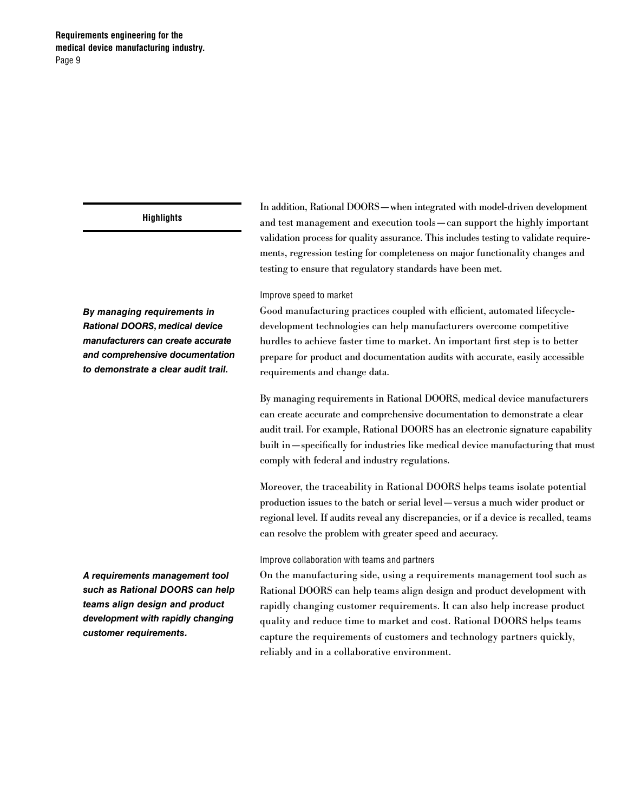*By managing requirements in Rational DOORS, medical device manufacturers can create accurate and comprehensive documentation to demonstrate a clear audit trail.*

In addition, Rational DOORS—when integrated with model-driven development and test management and execution tools—can support the highly important validation process for quality assurance. This includes testing to validate requirements, regression testing for completeness on major functionality changes and testing to ensure that regulatory standards have been met.

#### Improve speed to market

Good manufacturing practices coupled with efficient, automated lifecycledevelopment technologies can help manufacturers overcome competitive hurdles to achieve faster time to market. An important first step is to better prepare for product and documentation audits with accurate, easily accessible requirements and change data.

By managing requirements in Rational DOORS, medical device manufacturers can create accurate and comprehensive documentation to demonstrate a clear audit trail. For example, Rational DOORS has an electronic signature capability built in—specifically for industries like medical device manufacturing that must comply with federal and industry regulations.

Moreover, the traceability in Rational DOORS helps teams isolate potential production issues to the batch or serial level—versus a much wider product or regional level. If audits reveal any discrepancies, or if a device is recalled, teams can resolve the problem with greater speed and accuracy.

#### Improve collaboration with teams and partners

On the manufacturing side, using a requirements management tool such as Rational DOORS can help teams align design and product development with rapidly changing customer requirements. It can also help increase product quality and reduce time to market and cost. Rational DOORS helps teams capture the requirements of customers and technology partners quickly, reliably and in a collaborative environment.

*A requirements management tool such as Rational DOORS can help teams align design and product development with rapidly changing customer requirements.*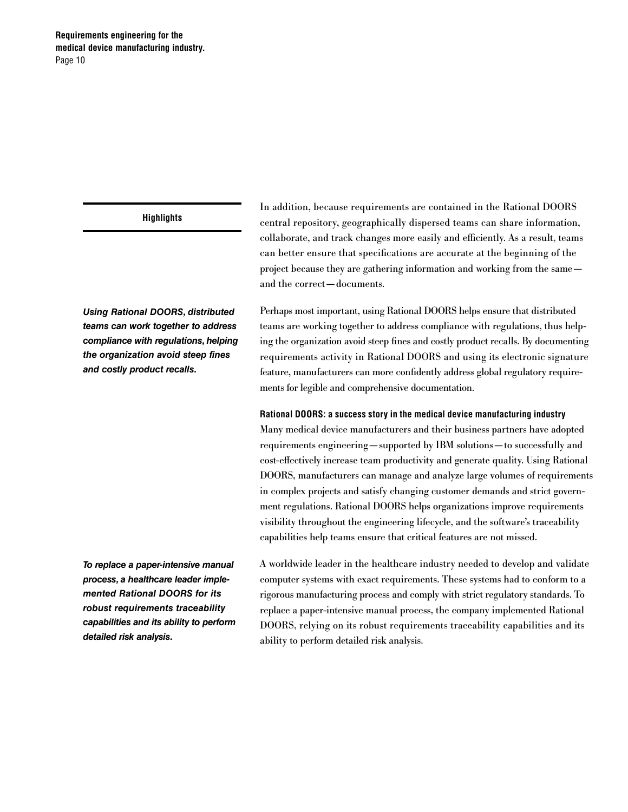*Using Rational DOORS, distributed teams can work together to address compliance with regulations, helping the organization avoid steep fines and costly product recalls.*

*To replace a paper-intensive manual process, a healthcare leader implemented Rational DOORS for its robust requirements traceability capabilities and its ability to perform detailed risk analysis.*

In addition, because requirements are contained in the Rational DOORS central repository, geographically dispersed teams can share information, collaborate, and track changes more easily and efficiently. As a result, teams can better ensure that specifications are accurate at the beginning of the project because they are gathering information and working from the same and the correct—documents.

Perhaps most important, using Rational DOORS helps ensure that distributed teams are working together to address compliance with regulations, thus helping the organization avoid steep fines and costly product recalls. By documenting requirements activity in Rational DOORS and using its electronic signature feature, manufacturers can more confidently address global regulatory requirements for legible and comprehensive documentation.

## **Rational DOORS: a success story in the medical device manufacturing industry**

Many medical device manufacturers and their business partners have adopted requirements engineering—supported by IBM solutions—to successfully and cost-effectively increase team productivity and generate quality. Using Rational DOORS, manufacturers can manage and analyze large volumes of requirements in complex projects and satisfy changing customer demands and strict government regulations. Rational DOORS helps organizations improve requirements visibility throughout the engineering lifecycle, and the software's traceability capabilities help teams ensure that critical features are not missed.

A worldwide leader in the healthcare industry needed to develop and validate computer systems with exact requirements. These systems had to conform to a rigorous manufacturing process and comply with strict regulatory standards. To replace a paper-intensive manual process, the company implemented Rational DOORS, relying on its robust requirements traceability capabilities and its ability to perform detailed risk analysis.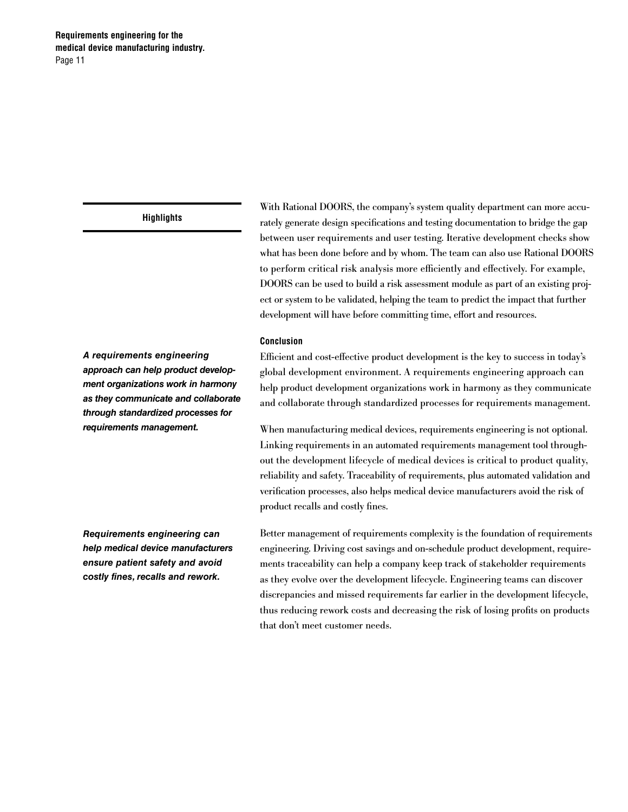*A requirements engineering approach can help product development organizations work in harmony as they communicate and collaborate through standardized processes for requirements management.*

*Requirements engineering can help medical device manufacturers ensure patient safety and avoid costly fines, recalls and rework.*

With Rational DOORS, the company's system quality department can more accurately generate design specifications and testing documentation to bridge the gap between user requirements and user testing. Iterative development checks show what has been done before and by whom. The team can also use Rational DOORS to perform critical risk analysis more efficiently and effectively. For example, DOORS can be used to build a risk assessment module as part of an existing project or system to be validated, helping the team to predict the impact that further development will have before committing time, effort and resources.

#### **Conclusion**

Efficient and cost-effective product development is the key to success in today's global development environment. A requirements engineering approach can help product development organizations work in harmony as they communicate and collaborate through standardized processes for requirements management.

When manufacturing medical devices, requirements engineering is not optional. Linking requirements in an automated requirements management tool throughout the development lifecycle of medical devices is critical to product quality, reliability and safety. Traceability of requirements, plus automated validation and verification processes, also helps medical device manufacturers avoid the risk of product recalls and costly fines.

Better management of requirements complexity is the foundation of requirements engineering. Driving cost savings and on-schedule product development, requirements traceability can help a company keep track of stakeholder requirements as they evolve over the development lifecycle. Engineering teams can discover discrepancies and missed requirements far earlier in the development lifecycle, thus reducing rework costs and decreasing the risk of losing profits on products that don't meet customer needs.